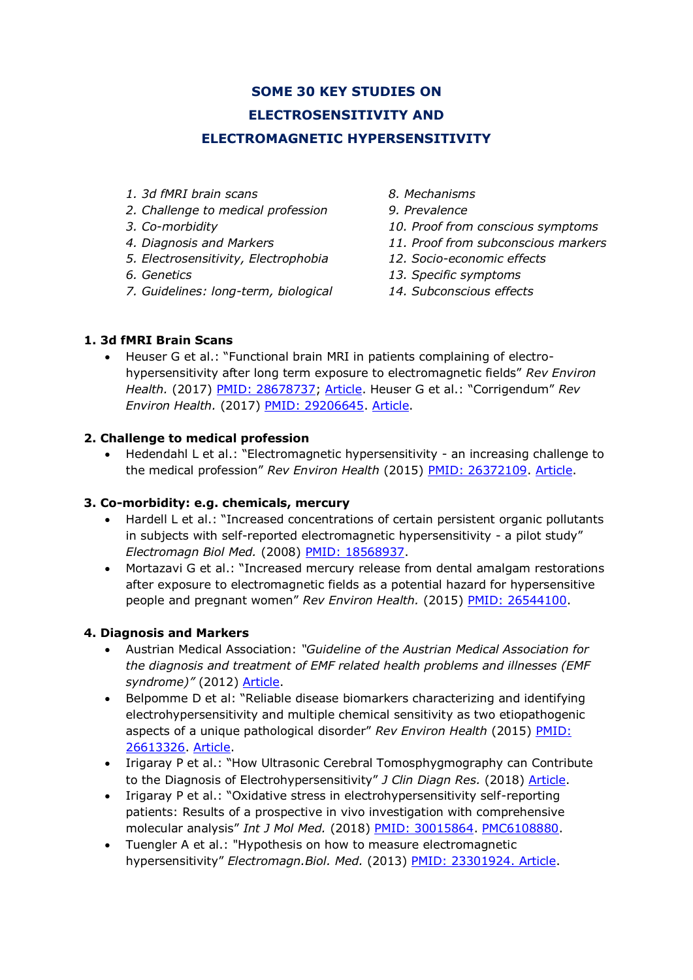# **SOME 30 KEY STUDIES ON ELECTROSENSITIVITY AND ELECTROMAGNETIC HYPERSENSITIVITY**

- *1. 3d fMRI brain scans*
- *2. Challenge to medical profession*
- *3. Co-morbidity*
- *4. Diagnosis and Markers*
- *5. Electrosensitivity, Electrophobia*
- *6. Genetics*
- *7. Guidelines: long-term, biological*
- *8. Mechanisms*
- *9. Prevalence*
- *10. Proof from conscious symptoms*
- *11. Proof from subconscious markers*
- *12. Socio-economic effects*
- *13. Specific symptoms*
- *14. Subconscious effects*

# **1. 3d fMRI Brain Scans**

• Heuser G et al.: "Functional brain MRI in patients complaining of electrohypersensitivity after long term exposure to electromagnetic fields" *Rev Environ Health.* (2017) [PMID: 28678737;](https://www.ncbi.nlm.nih.gov/pubmed/28678737) [Article.](http://sci-hub.cc/10.1515/reveh-2017-0014) Heuser G et al.: "Corrigendum" *Rev Environ Health.* (2017) [PMID: 29206645.](https://www.ncbi.nlm.nih.gov/pubmed/29206645) [Article.](https://www.degruyter.com/view/j/reveh.2017.32.issue-3/reveh-2017-0014/reveh-2017-0014.xml)

# **2. Challenge to medical profession**

• Hedendahl L et al.: "Electromagnetic hypersensitivity - an increasing challenge to the medical profession" *Rev Environ Health* (2015) [PMID: 26372109.](http://www.ncbi.nlm.nih.gov/pubmed/26372109) [Article.](http://www.stralskyddsstiftelsen.se/wp-content/uploads/2016/04/hedendahl_hardell_2015.pdf)

# **3. Co-morbidity: e.g. chemicals, mercury**

- Hardell L et al.: "Increased concentrations of certain persistent organic pollutants in subjects with self-reported electromagnetic hypersensitivity - a pilot study" *Electromagn Biol Med.* (2008) [PMID: 18568937.](http://www.ncbi.nlm.nih.gov/pubmed/18568937)
- Mortazavi G et al.: "Increased mercury release from dental amalgam restorations after exposure to electromagnetic fields as a potential hazard for hypersensitive people and pregnant women" *Rev Environ Health.* (2015) [PMID: 26544100.](https://www.ncbi.nlm.nih.gov/pubmed/26544100)

# **4. Diagnosis and Markers**

- Austrian Medical Association: *"Guideline of the Austrian Medical Association for the diagnosis and treatment of EMF related health problems and illnesses (EMF syndrome)"* (2012) [Article.](http://freiburger-appell-2012.info/media/EMF%20Guideline%20OAK-AG%20%202012%2003%2003.pdf)
- Belpomme D et al: "Reliable disease biomarkers characterizing and identifying electrohypersensitivity and multiple chemical sensitivity as two etiopathogenic aspects of a unique pathological disorder" *Rev Environ Health* (2015) [PMID:](http://www.ncbi.nlm.nih.gov/pubmed/26613326)  [26613326.](http://www.ncbi.nlm.nih.gov/pubmed/26613326) [Article.](http://www.ehs-mcs.org/fichiers/1454070991_Reliable_biomarkers.pdf)
- Irigaray P et al.: "How Ultrasonic Cerebral Tomosphygmography can Contribute to the Diagnosis of Electrohypersensitivity" *J Clin Diagn Res.* (2018) [Article.](file:///H:/Irigaray%20P/Irigaray-2018-ultrasonic-cerebral-tomosphygmography-UCTS-EHS.pdf)
- Irigaray P et al.: "Oxidative stress in electrohypersensitivity self-reporting patients: Results of a prospective in vivo investigation with comprehensive molecular analysis" *Int J Mol Med.* (2018) [PMID: 30015864.](https://www.ncbi.nlm.nih.gov/pubmed/30015864) [PMC6108880.](https://www.ncbi.nlm.nih.gov/pmc/articles/PMC6108880/)
- Tuengler A et al.: "Hypothesis on how to measure electromagnetic hypersensitivity" *Electromagn.Biol. Med.* (2013) [PMID: 23301924.](http://www.ncbi.nlm.nih.gov/pubmed/?term=23301924) [Article.](http://www.umweltphysik.com/beta/wp-content/uploads/2015/07/Publ-Biomed.pdf)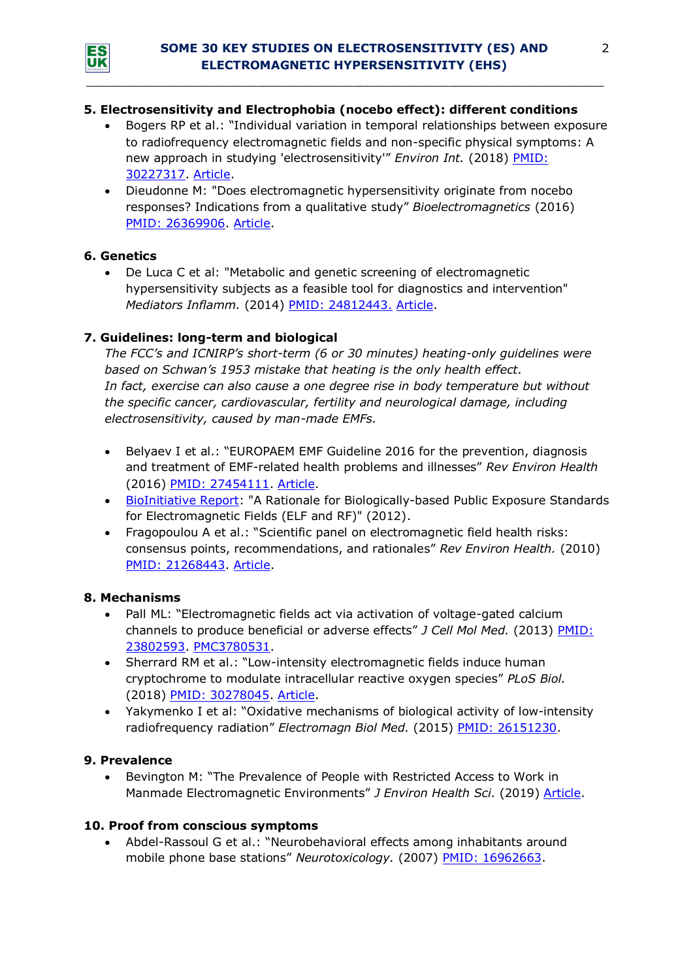

*\_\_\_\_\_\_\_\_\_\_\_\_\_\_\_\_\_\_\_\_\_\_\_\_\_\_\_\_\_\_\_\_\_\_\_\_\_\_\_\_\_\_\_\_\_\_\_\_\_\_\_\_\_\_\_\_\_\_\_\_\_\_\_\_\_\_\_\_\_\_*

### **5. Electrosensitivity and Electrophobia (nocebo effect): different conditions**

- Bogers RP et al.: "Individual variation in temporal relationships between exposure to radiofrequency electromagnetic fields and non-specific physical symptoms: A new approach in studying 'electrosensitivity'" *Environ Int.* (2018) [PMID:](https://www.ncbi.nlm.nih.gov/pubmed/30227317)  [30227317.](https://www.ncbi.nlm.nih.gov/pubmed/30227317) [Article.](https://www.sciencedirect.com/science/article/pii/S0160412018303088?via%3Dihub)
- Dieudonne M: "Does electromagnetic hypersensitivity originate from nocebo responses? Indications from a qualitative study" *Bioelectromagnetics* (2016) PMID: [26369906.](http://www.ncbi.nlm.nih.gov/pubmed/26369906) [Article.](https://core.ac.uk/download/pdf/47325643.pdf)

### **6. Genetics**

• De Luca C et al: "Metabolic and genetic screening of electromagnetic hypersensitivity subjects as a feasible tool for diagnostics and intervention" *Mediators Inflamm.* (2014) [PMID: 24812443.](http://www.ncbi.nlm.nih.gov/pubmed/24812443) [Article.](http://www.ncbi.nlm.nih.gov/pmc/articles/PMC4000647/pdf/MI2014-924184.pdf)

### **7. Guidelines: long-term and biological**

*The FCC's and ICNIRP's short-term (6 or 30 minutes) heating-only guidelines were based on Schwan's 1953 mistake that heating is the only health effect. In fact, exercise can also cause a one degree rise in body temperature but without the specific cancer, cardiovascular, fertility and neurological damage, including electrosensitivity, caused by man-made EMFs.*

- Belyaev I et al.: "EUROPAEM EMF Guideline 2016 for the prevention, diagnosis and treatment of EMF-related health problems and illnesses" *Rev Environ Health* (2016) [PMID: 27454111.](https://www.ncbi.nlm.nih.gov/pubmed/27454111) [Article.](https://www.degruyter.com/downloadpdf/j/reveh.2016.31.issue-3/reveh-2016-0011/reveh-2016-0011.pdf)
- [BioInitiative Report:](http://www.bioinitiative.org/) "A Rationale for Biologically-based Public Exposure Standards for Electromagnetic Fields (ELF and RF)" (2012).
- Fragopoulou A et al.: "Scientific panel on electromagnetic field health risks: consensus points, recommendations, and rationales" *Rev Environ Health.* (2010) [PMID: 21268443.](http://www.ncbi.nlm.nih.gov/pubmed/21268443) [Article.](http://emfsafetynetwork.org/wp-content/uploads/2011/07/Seletun-Statement-2010.pdf)

#### **8. Mechanisms**

- Pall ML: "Electromagnetic fields act via activation of voltage-gated calcium channels to produce beneficial or adverse effects" *J Cell Mol Med.* (2013) [PMID:](http://www.ncbi.nlm.nih.gov/pubmed/23802593)  [23802593.](http://www.ncbi.nlm.nih.gov/pubmed/23802593) [PMC3780531.](https://www.ncbi.nlm.nih.gov/pmc/articles/PMC3780531/)
- Sherrard RM et al.: "Low-intensity electromagnetic fields induce human cryptochrome to modulate intracellular reactive oxygen species" *PLoS Biol.* (2018) [PMID: 30278045.](https://www.ncbi.nlm.nih.gov/pubmed/30278045) [Article.](https://doi.org/10.1371/journal.pbio.2006229)
- Yakymenko I et al: "Oxidative mechanisms of biological activity of low-intensity radiofrequency radiation" *Electromagn Biol Med.* (2015) [PMID: 26151230.](http://www.ncbi.nlm.nih.gov/pubmed/26151230)

#### **9. Prevalence**

• Bevington M: "The Prevalence of People with Restricted Access to Work in Manmade Electromagnetic Environments" *J Environ Health Sci.* (2019) [Article.](https://www.ommegaonline.org/article-details/The-Prevalence-of-People-With-Restricted-Access-to-Work-in-Man-Made-Electromagnetic-Environments/2402)

### **10. Proof from conscious symptoms**

• Abdel-Rassoul G et al.: "Neurobehavioral effects among inhabitants around mobile phone base stations" *Neurotoxicology.* (2007) [PMID: 16962663.](https://www.ncbi.nlm.nih.gov/pubmed/16962663)